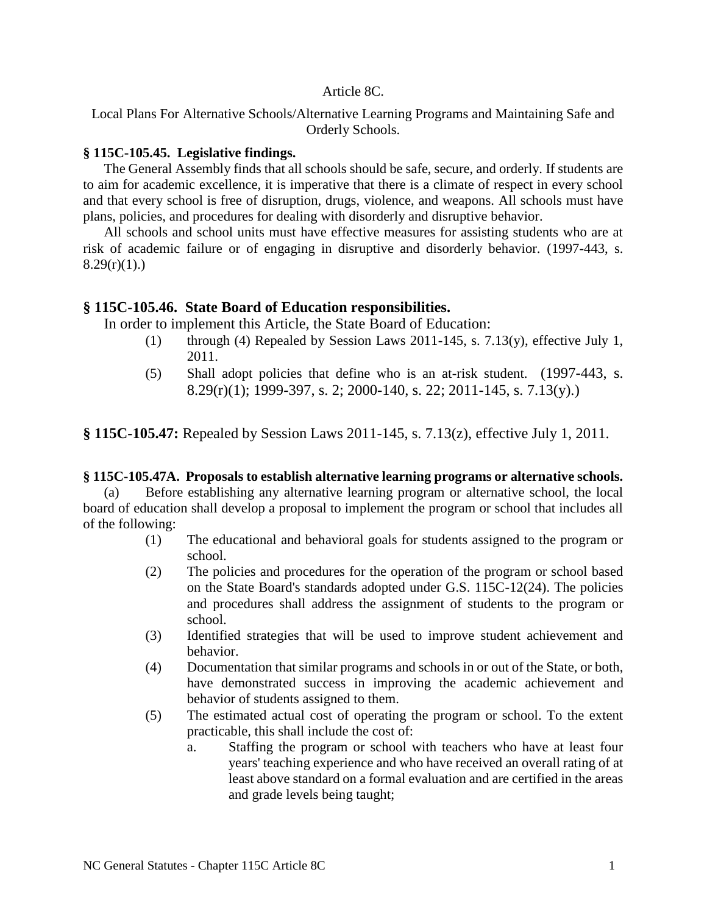#### Article 8C.

Local Plans For Alternative Schools/Alternative Learning Programs and Maintaining Safe and Orderly Schools.

#### **§ 115C-105.45. Legislative findings.**

The General Assembly finds that all schools should be safe, secure, and orderly. If students are to aim for academic excellence, it is imperative that there is a climate of respect in every school and that every school is free of disruption, drugs, violence, and weapons. All schools must have plans, policies, and procedures for dealing with disorderly and disruptive behavior.

All schools and school units must have effective measures for assisting students who are at risk of academic failure or of engaging in disruptive and disorderly behavior. (1997-443, s.  $8.29(r)(1)$ .)

### **§ 115C-105.46. State Board of Education responsibilities.**

In order to implement this Article, the State Board of Education:

- (1) through (4) Repealed by Session Laws  $2011-145$ , s. 7.13(y), effective July 1, 2011.
- (5) Shall adopt policies that define who is an at-risk student. (1997-443, s. 8.29(r)(1); 1999-397, s. 2; 2000-140, s. 22; 2011-145, s. 7.13(y).)

**§ 115C-105.47:** Repealed by Session Laws 2011-145, s. 7.13(z), effective July 1, 2011.

#### **§ 115C-105.47A. Proposals to establish alternative learning programs or alternative schools.**

(a) Before establishing any alternative learning program or alternative school, the local board of education shall develop a proposal to implement the program or school that includes all of the following:

- (1) The educational and behavioral goals for students assigned to the program or school.
- (2) The policies and procedures for the operation of the program or school based on the State Board's standards adopted under G.S. 115C-12(24). The policies and procedures shall address the assignment of students to the program or school.
- (3) Identified strategies that will be used to improve student achievement and behavior.
- (4) Documentation that similar programs and schools in or out of the State, or both, have demonstrated success in improving the academic achievement and behavior of students assigned to them.
- (5) The estimated actual cost of operating the program or school. To the extent practicable, this shall include the cost of:
	- a. Staffing the program or school with teachers who have at least four years' teaching experience and who have received an overall rating of at least above standard on a formal evaluation and are certified in the areas and grade levels being taught;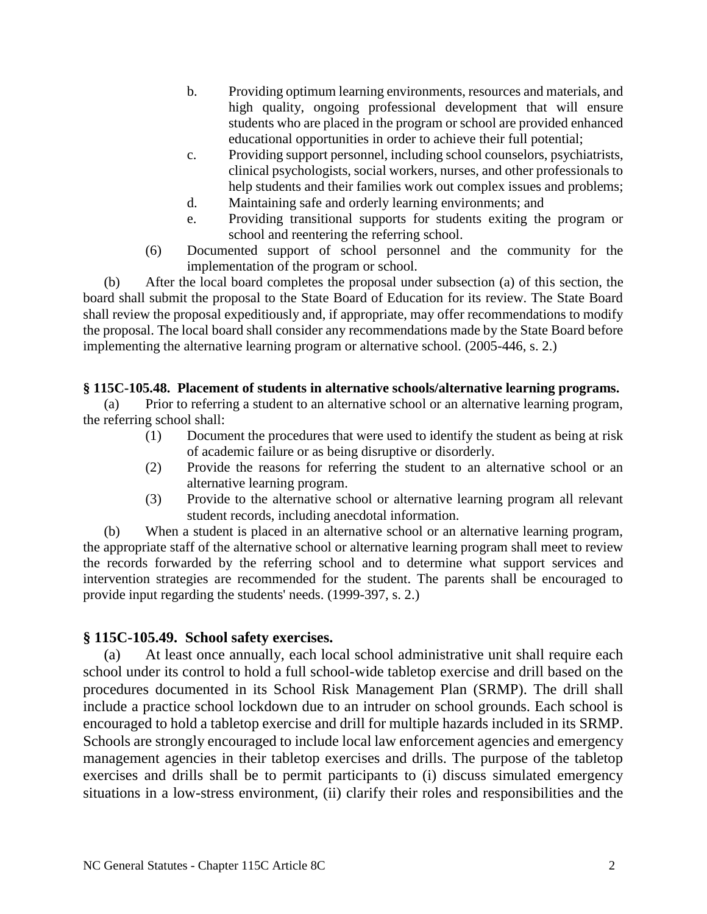- b. Providing optimum learning environments, resources and materials, and high quality, ongoing professional development that will ensure students who are placed in the program or school are provided enhanced educational opportunities in order to achieve their full potential;
- c. Providing support personnel, including school counselors, psychiatrists, clinical psychologists, social workers, nurses, and other professionals to help students and their families work out complex issues and problems;
- d. Maintaining safe and orderly learning environments; and
- e. Providing transitional supports for students exiting the program or school and reentering the referring school.
- (6) Documented support of school personnel and the community for the implementation of the program or school.

(b) After the local board completes the proposal under subsection (a) of this section, the board shall submit the proposal to the State Board of Education for its review. The State Board shall review the proposal expeditiously and, if appropriate, may offer recommendations to modify the proposal. The local board shall consider any recommendations made by the State Board before implementing the alternative learning program or alternative school. (2005-446, s. 2.)

### **§ 115C-105.48. Placement of students in alternative schools/alternative learning programs.**

(a) Prior to referring a student to an alternative school or an alternative learning program, the referring school shall:

- (1) Document the procedures that were used to identify the student as being at risk of academic failure or as being disruptive or disorderly.
- (2) Provide the reasons for referring the student to an alternative school or an alternative learning program.
- (3) Provide to the alternative school or alternative learning program all relevant student records, including anecdotal information.

(b) When a student is placed in an alternative school or an alternative learning program, the appropriate staff of the alternative school or alternative learning program shall meet to review the records forwarded by the referring school and to determine what support services and intervention strategies are recommended for the student. The parents shall be encouraged to provide input regarding the students' needs. (1999-397, s. 2.)

### **§ 115C-105.49. School safety exercises.**

(a) At least once annually, each local school administrative unit shall require each school under its control to hold a full school-wide tabletop exercise and drill based on the procedures documented in its School Risk Management Plan (SRMP). The drill shall include a practice school lockdown due to an intruder on school grounds. Each school is encouraged to hold a tabletop exercise and drill for multiple hazards included in its SRMP. Schools are strongly encouraged to include local law enforcement agencies and emergency management agencies in their tabletop exercises and drills. The purpose of the tabletop exercises and drills shall be to permit participants to (i) discuss simulated emergency situations in a low-stress environment, (ii) clarify their roles and responsibilities and the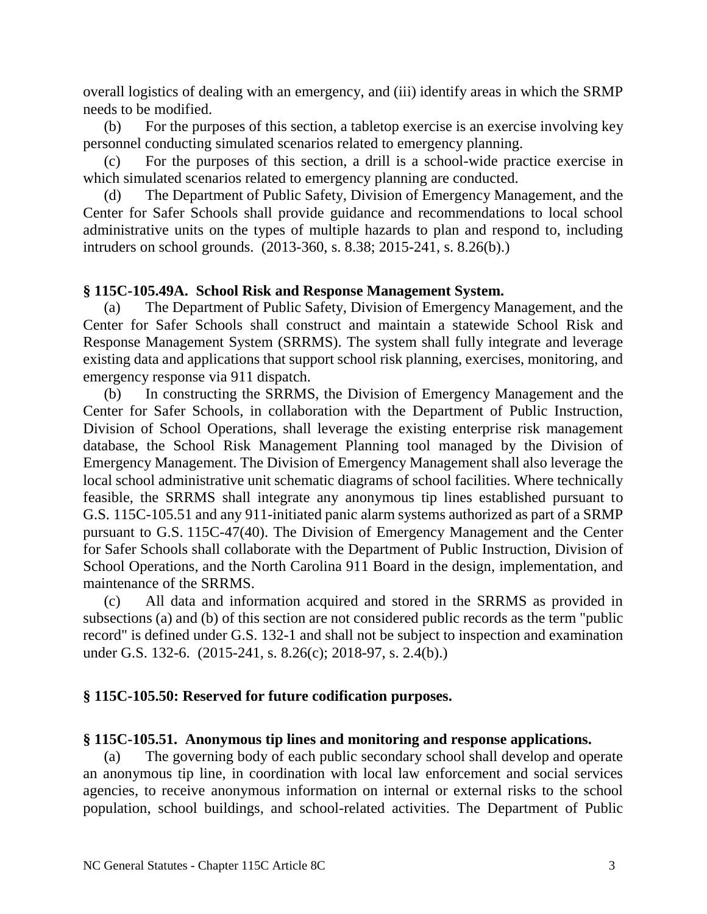overall logistics of dealing with an emergency, and (iii) identify areas in which the SRMP needs to be modified.

(b) For the purposes of this section, a tabletop exercise is an exercise involving key personnel conducting simulated scenarios related to emergency planning.

(c) For the purposes of this section, a drill is a school-wide practice exercise in which simulated scenarios related to emergency planning are conducted.

(d) The Department of Public Safety, Division of Emergency Management, and the Center for Safer Schools shall provide guidance and recommendations to local school administrative units on the types of multiple hazards to plan and respond to, including intruders on school grounds. (2013-360, s. 8.38; 2015-241, s. 8.26(b).)

## **§ 115C-105.49A. School Risk and Response Management System.**

(a) The Department of Public Safety, Division of Emergency Management, and the Center for Safer Schools shall construct and maintain a statewide School Risk and Response Management System (SRRMS). The system shall fully integrate and leverage existing data and applications that support school risk planning, exercises, monitoring, and emergency response via 911 dispatch.

(b) In constructing the SRRMS, the Division of Emergency Management and the Center for Safer Schools, in collaboration with the Department of Public Instruction, Division of School Operations, shall leverage the existing enterprise risk management database, the School Risk Management Planning tool managed by the Division of Emergency Management. The Division of Emergency Management shall also leverage the local school administrative unit schematic diagrams of school facilities. Where technically feasible, the SRRMS shall integrate any anonymous tip lines established pursuant to G.S. 115C-105.51 and any 911-initiated panic alarm systems authorized as part of a SRMP pursuant to G.S. 115C-47(40). The Division of Emergency Management and the Center for Safer Schools shall collaborate with the Department of Public Instruction, Division of School Operations, and the North Carolina 911 Board in the design, implementation, and maintenance of the SRRMS.

(c) All data and information acquired and stored in the SRRMS as provided in subsections (a) and (b) of this section are not considered public records as the term "public record" is defined under G.S. 132-1 and shall not be subject to inspection and examination under G.S. 132-6. (2015-241, s. 8.26(c); 2018-97, s. 2.4(b).)

# **§ 115C-105.50: Reserved for future codification purposes.**

# **§ 115C-105.51. Anonymous tip lines and monitoring and response applications.**

(a) The governing body of each public secondary school shall develop and operate an anonymous tip line, in coordination with local law enforcement and social services agencies, to receive anonymous information on internal or external risks to the school population, school buildings, and school-related activities. The Department of Public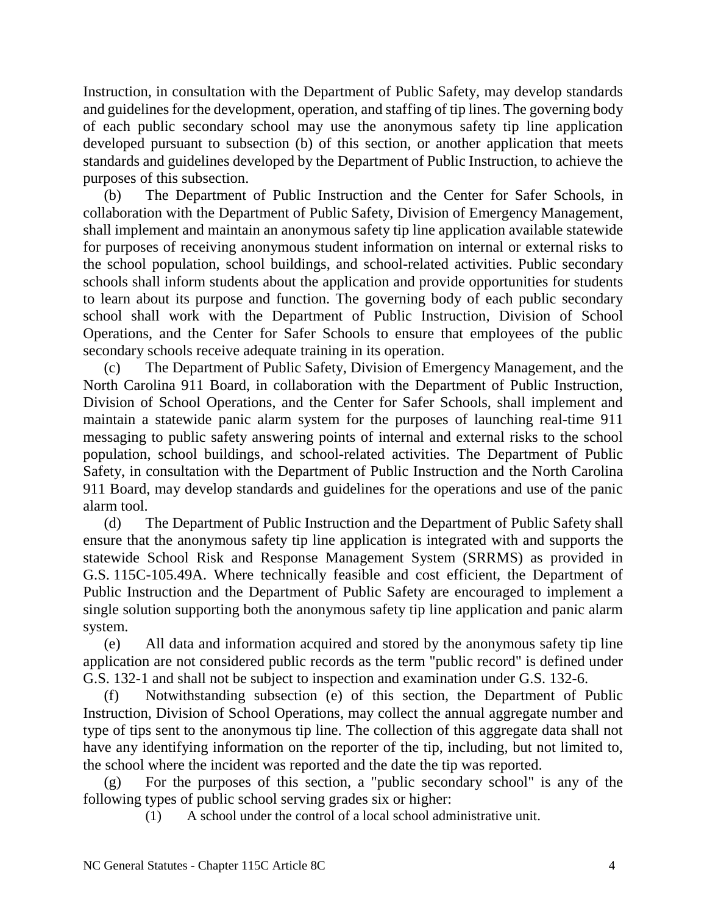Instruction, in consultation with the Department of Public Safety, may develop standards and guidelines for the development, operation, and staffing of tip lines. The governing body of each public secondary school may use the anonymous safety tip line application developed pursuant to subsection (b) of this section, or another application that meets standards and guidelines developed by the Department of Public Instruction, to achieve the purposes of this subsection.

(b) The Department of Public Instruction and the Center for Safer Schools, in collaboration with the Department of Public Safety, Division of Emergency Management, shall implement and maintain an anonymous safety tip line application available statewide for purposes of receiving anonymous student information on internal or external risks to the school population, school buildings, and school-related activities. Public secondary schools shall inform students about the application and provide opportunities for students to learn about its purpose and function. The governing body of each public secondary school shall work with the Department of Public Instruction, Division of School Operations, and the Center for Safer Schools to ensure that employees of the public secondary schools receive adequate training in its operation.

(c) The Department of Public Safety, Division of Emergency Management, and the North Carolina 911 Board, in collaboration with the Department of Public Instruction, Division of School Operations, and the Center for Safer Schools, shall implement and maintain a statewide panic alarm system for the purposes of launching real-time 911 messaging to public safety answering points of internal and external risks to the school population, school buildings, and school-related activities. The Department of Public Safety, in consultation with the Department of Public Instruction and the North Carolina 911 Board, may develop standards and guidelines for the operations and use of the panic alarm tool.

(d) The Department of Public Instruction and the Department of Public Safety shall ensure that the anonymous safety tip line application is integrated with and supports the statewide School Risk and Response Management System (SRRMS) as provided in G.S. 115C-105.49A. Where technically feasible and cost efficient, the Department of Public Instruction and the Department of Public Safety are encouraged to implement a single solution supporting both the anonymous safety tip line application and panic alarm system.

(e) All data and information acquired and stored by the anonymous safety tip line application are not considered public records as the term "public record" is defined under G.S. 132-1 and shall not be subject to inspection and examination under G.S. 132-6.

(f) Notwithstanding subsection (e) of this section, the Department of Public Instruction, Division of School Operations, may collect the annual aggregate number and type of tips sent to the anonymous tip line. The collection of this aggregate data shall not have any identifying information on the reporter of the tip, including, but not limited to, the school where the incident was reported and the date the tip was reported.

(g) For the purposes of this section, a "public secondary school" is any of the following types of public school serving grades six or higher:

(1) A school under the control of a local school administrative unit.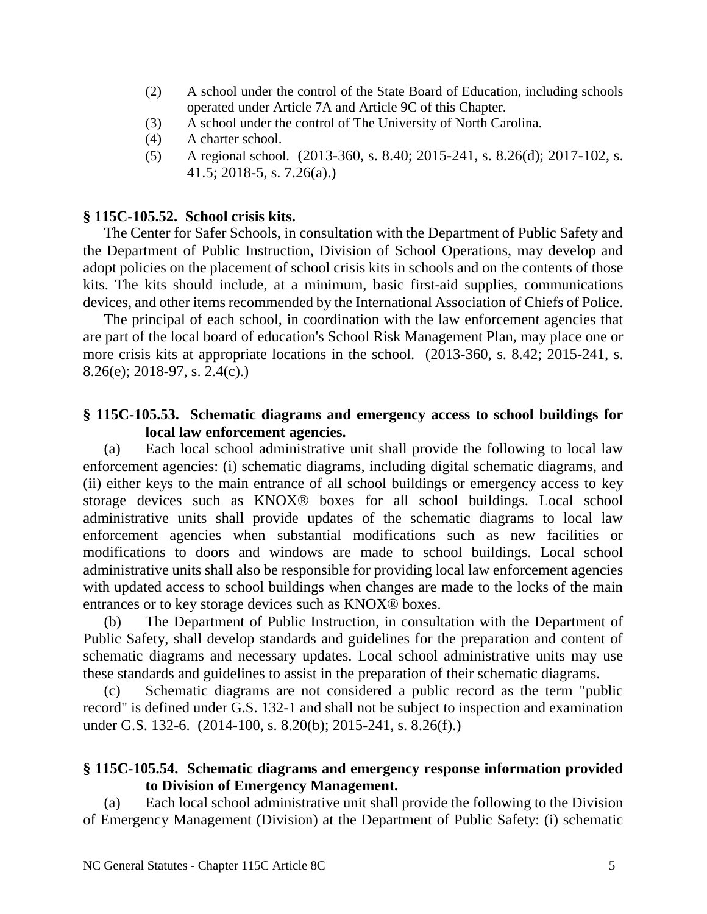- (2) A school under the control of the State Board of Education, including schools operated under Article 7A and Article 9C of this Chapter.
- (3) A school under the control of The University of North Carolina.
- (4) A charter school.
- (5) A regional school. (2013-360, s. 8.40; 2015-241, s. 8.26(d); 2017-102, s. 41.5; 2018-5, s. 7.26(a).)

### **§ 115C-105.52. School crisis kits.**

The Center for Safer Schools, in consultation with the Department of Public Safety and the Department of Public Instruction, Division of School Operations, may develop and adopt policies on the placement of school crisis kits in schools and on the contents of those kits. The kits should include, at a minimum, basic first-aid supplies, communications devices, and other items recommended by the International Association of Chiefs of Police.

The principal of each school, in coordination with the law enforcement agencies that are part of the local board of education's School Risk Management Plan, may place one or more crisis kits at appropriate locations in the school. (2013-360, s. 8.42; 2015-241, s. 8.26(e); 2018-97, s. 2.4(c).)

## **§ 115C-105.53. Schematic diagrams and emergency access to school buildings for local law enforcement agencies.**

(a) Each local school administrative unit shall provide the following to local law enforcement agencies: (i) schematic diagrams, including digital schematic diagrams, and (ii) either keys to the main entrance of all school buildings or emergency access to key storage devices such as KNOX® boxes for all school buildings. Local school administrative units shall provide updates of the schematic diagrams to local law enforcement agencies when substantial modifications such as new facilities or modifications to doors and windows are made to school buildings. Local school administrative units shall also be responsible for providing local law enforcement agencies with updated access to school buildings when changes are made to the locks of the main entrances or to key storage devices such as KNOX® boxes.

(b) The Department of Public Instruction, in consultation with the Department of Public Safety, shall develop standards and guidelines for the preparation and content of schematic diagrams and necessary updates. Local school administrative units may use these standards and guidelines to assist in the preparation of their schematic diagrams.

(c) Schematic diagrams are not considered a public record as the term "public record" is defined under G.S. 132-1 and shall not be subject to inspection and examination under G.S. 132-6. (2014-100, s. 8.20(b); 2015-241, s. 8.26(f).)

# **§ 115C-105.54. Schematic diagrams and emergency response information provided to Division of Emergency Management.**

(a) Each local school administrative unit shall provide the following to the Division of Emergency Management (Division) at the Department of Public Safety: (i) schematic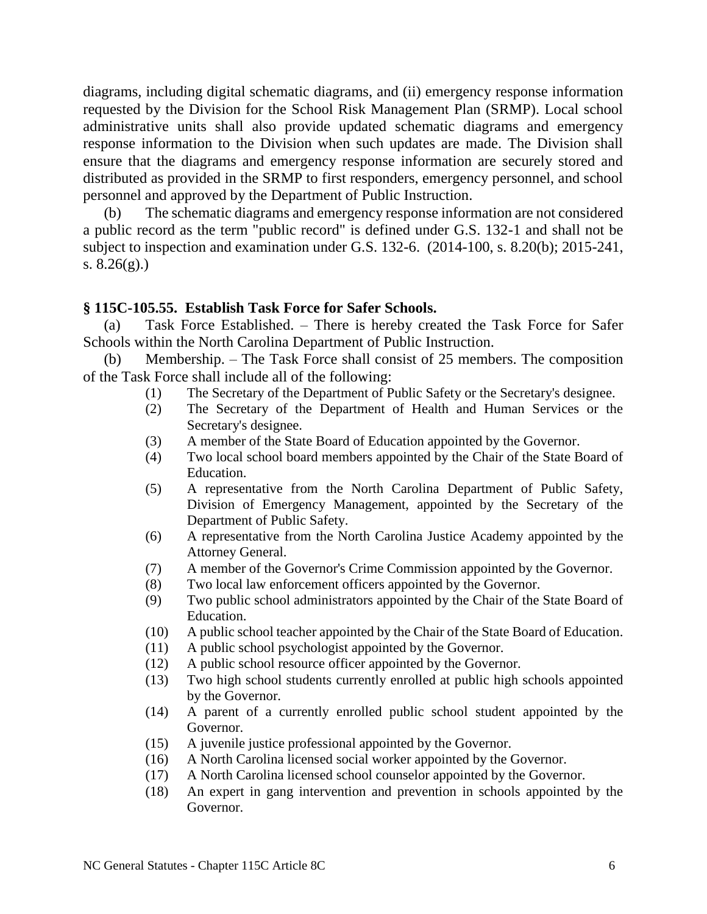diagrams, including digital schematic diagrams, and (ii) emergency response information requested by the Division for the School Risk Management Plan (SRMP). Local school administrative units shall also provide updated schematic diagrams and emergency response information to the Division when such updates are made. The Division shall ensure that the diagrams and emergency response information are securely stored and distributed as provided in the SRMP to first responders, emergency personnel, and school personnel and approved by the Department of Public Instruction.

(b) The schematic diagrams and emergency response information are not considered a public record as the term "public record" is defined under G.S. 132-1 and shall not be subject to inspection and examination under G.S. 132-6. (2014-100, s. 8.20(b); 2015-241, s.  $8.26(g)$ .)

### **§ 115C-105.55. Establish Task Force for Safer Schools.**

(a) Task Force Established. – There is hereby created the Task Force for Safer Schools within the North Carolina Department of Public Instruction.

(b) Membership. – The Task Force shall consist of 25 members. The composition of the Task Force shall include all of the following:

- (1) The Secretary of the Department of Public Safety or the Secretary's designee.
- (2) The Secretary of the Department of Health and Human Services or the Secretary's designee.
- (3) A member of the State Board of Education appointed by the Governor.
- (4) Two local school board members appointed by the Chair of the State Board of Education.
- (5) A representative from the North Carolina Department of Public Safety, Division of Emergency Management, appointed by the Secretary of the Department of Public Safety.
- (6) A representative from the North Carolina Justice Academy appointed by the Attorney General.
- (7) A member of the Governor's Crime Commission appointed by the Governor.
- (8) Two local law enforcement officers appointed by the Governor.
- (9) Two public school administrators appointed by the Chair of the State Board of Education.
- (10) A public school teacher appointed by the Chair of the State Board of Education.
- (11) A public school psychologist appointed by the Governor.
- (12) A public school resource officer appointed by the Governor.
- (13) Two high school students currently enrolled at public high schools appointed by the Governor.
- (14) A parent of a currently enrolled public school student appointed by the Governor.
- (15) A juvenile justice professional appointed by the Governor.
- (16) A North Carolina licensed social worker appointed by the Governor.
- (17) A North Carolina licensed school counselor appointed by the Governor.
- (18) An expert in gang intervention and prevention in schools appointed by the Governor.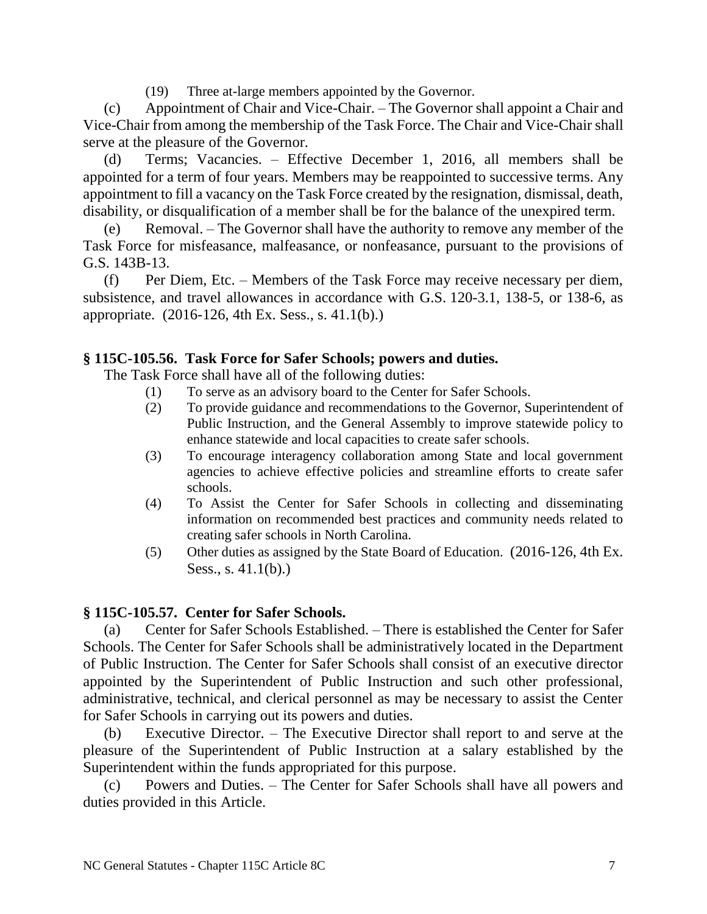(19) Three at-large members appointed by the Governor.

(c) Appointment of Chair and Vice-Chair. – The Governor shall appoint a Chair and Vice-Chair from among the membership of the Task Force. The Chair and Vice-Chair shall serve at the pleasure of the Governor.

(d) Terms; Vacancies. – Effective December 1, 2016, all members shall be appointed for a term of four years. Members may be reappointed to successive terms. Any appointment to fill a vacancy on the Task Force created by the resignation, dismissal, death, disability, or disqualification of a member shall be for the balance of the unexpired term.

(e) Removal. – The Governor shall have the authority to remove any member of the Task Force for misfeasance, malfeasance, or nonfeasance, pursuant to the provisions of G.S. 143B-13.

(f) Per Diem, Etc. – Members of the Task Force may receive necessary per diem, subsistence, and travel allowances in accordance with G.S. 120-3.1, 138-5, or 138-6, as appropriate. (2016-126, 4th Ex. Sess., s. 41.1(b).)

## **§ 115C-105.56. Task Force for Safer Schools; powers and duties.**

The Task Force shall have all of the following duties:

- (1) To serve as an advisory board to the Center for Safer Schools.
- (2) To provide guidance and recommendations to the Governor, Superintendent of Public Instruction, and the General Assembly to improve statewide policy to enhance statewide and local capacities to create safer schools.
- (3) To encourage interagency collaboration among State and local government agencies to achieve effective policies and streamline efforts to create safer schools.
- (4) To Assist the Center for Safer Schools in collecting and disseminating information on recommended best practices and community needs related to creating safer schools in North Carolina.
- (5) Other duties as assigned by the State Board of Education. (2016-126, 4th Ex. Sess., s. 41.1(b).)

# **§ 115C-105.57. Center for Safer Schools.**

(a) Center for Safer Schools Established. – There is established the Center for Safer Schools. The Center for Safer Schools shall be administratively located in the Department of Public Instruction. The Center for Safer Schools shall consist of an executive director appointed by the Superintendent of Public Instruction and such other professional, administrative, technical, and clerical personnel as may be necessary to assist the Center for Safer Schools in carrying out its powers and duties.

(b) Executive Director. – The Executive Director shall report to and serve at the pleasure of the Superintendent of Public Instruction at a salary established by the Superintendent within the funds appropriated for this purpose.

(c) Powers and Duties. – The Center for Safer Schools shall have all powers and duties provided in this Article.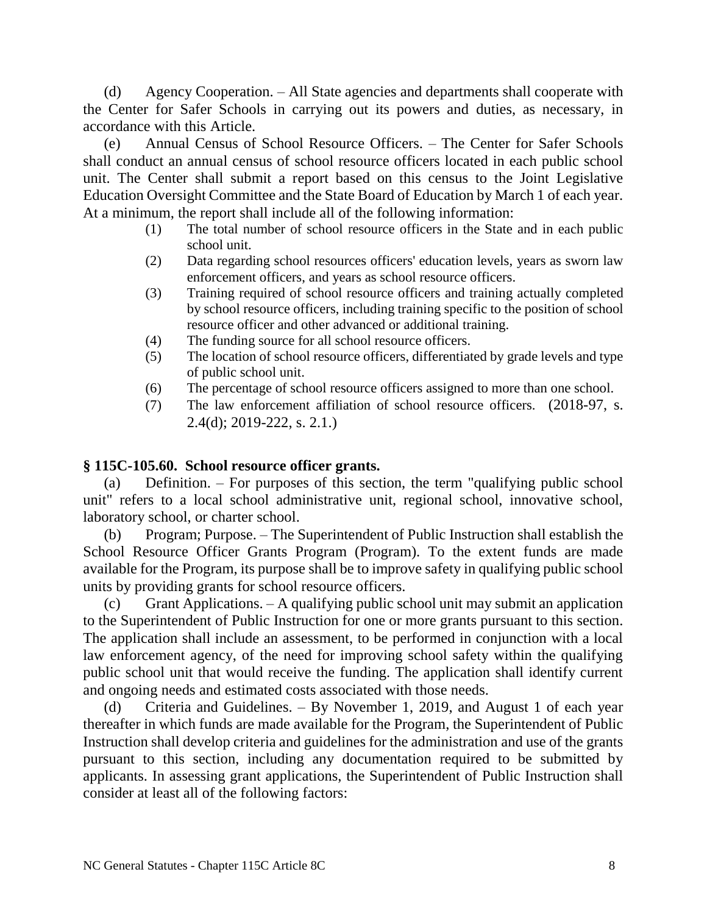(d) Agency Cooperation. – All State agencies and departments shall cooperate with the Center for Safer Schools in carrying out its powers and duties, as necessary, in accordance with this Article.

(e) Annual Census of School Resource Officers. – The Center for Safer Schools shall conduct an annual census of school resource officers located in each public school unit. The Center shall submit a report based on this census to the Joint Legislative Education Oversight Committee and the State Board of Education by March 1 of each year. At a minimum, the report shall include all of the following information:

- (1) The total number of school resource officers in the State and in each public school unit.
- (2) Data regarding school resources officers' education levels, years as sworn law enforcement officers, and years as school resource officers.
- (3) Training required of school resource officers and training actually completed by school resource officers, including training specific to the position of school resource officer and other advanced or additional training.
- (4) The funding source for all school resource officers.
- (5) The location of school resource officers, differentiated by grade levels and type of public school unit.
- (6) The percentage of school resource officers assigned to more than one school.
- (7) The law enforcement affiliation of school resource officers. (2018-97, s. 2.4(d); 2019-222, s. 2.1.)

# **§ 115C-105.60. School resource officer grants.**

(a) Definition. – For purposes of this section, the term "qualifying public school unit" refers to a local school administrative unit, regional school, innovative school, laboratory school, or charter school.

(b) Program; Purpose. – The Superintendent of Public Instruction shall establish the School Resource Officer Grants Program (Program). To the extent funds are made available for the Program, its purpose shall be to improve safety in qualifying public school units by providing grants for school resource officers.

(c) Grant Applications. – A qualifying public school unit may submit an application to the Superintendent of Public Instruction for one or more grants pursuant to this section. The application shall include an assessment, to be performed in conjunction with a local law enforcement agency, of the need for improving school safety within the qualifying public school unit that would receive the funding. The application shall identify current and ongoing needs and estimated costs associated with those needs.

(d) Criteria and Guidelines. – By November 1, 2019, and August 1 of each year thereafter in which funds are made available for the Program, the Superintendent of Public Instruction shall develop criteria and guidelines for the administration and use of the grants pursuant to this section, including any documentation required to be submitted by applicants. In assessing grant applications, the Superintendent of Public Instruction shall consider at least all of the following factors: